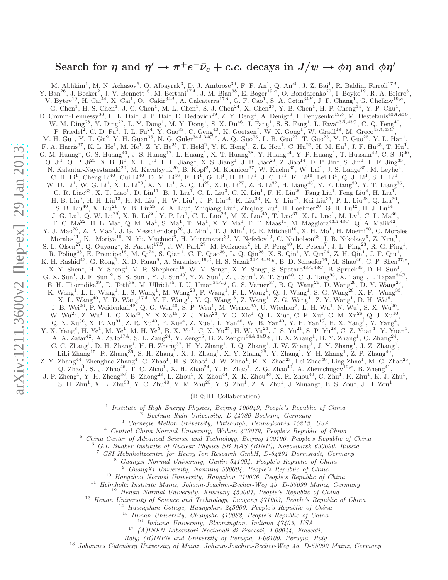# Search for  $\eta$  and  $\eta' \to \pi^+ e^- \bar{\nu}_e + c.c.$  decays in  $J/\psi \to \phi \eta$  and  $\phi \eta'$

M. Ablikim<sup>1</sup>, M. N. Achasov<sup>6</sup>, O. Albayrak<sup>3</sup>, D. J. Ambrose<sup>39</sup>, F. F. An<sup>1</sup>, Q. An<sup>40</sup>, J. Z. Bai<sup>1</sup>, R. Baldini Ferroli<sup>174</sup>, Y. Ban<sup>26</sup>, J. Becker<sup>2</sup>, J. V. Bennett<sup>16</sup>, M. Bertani<sup>17A</sup>, J. M. Bian<sup>38</sup>, E. Boger<sup>19,a</sup>, O. Bondarenko<sup>20</sup>, I. Boyko<sup>19</sup>, R. A. Briere<sup>3</sup>, V. Bytev<sup>19</sup>, H. Cai<sup>44</sup>, X. Cai<sup>1</sup>, O. Cakir<sup>34A</sup>, A. Calcaterra<sup>17A</sup>, G. F. Cao<sup>1</sup>, S. A. Cetin<sup>34B</sup>, J. F. Chang<sup>1</sup>, G. Chelkov<sup>19,a</sup>, G. Chen<sup>1</sup>, H. S. Chen<sup>1</sup>, J. C. Chen<sup>1</sup>, M. L. Chen<sup>1</sup>, S. J. Chen<sup>24</sup>, X. Chen<sup>26</sup>, Y. B. Chen<sup>1</sup>, H. P. Cheng<sup>14</sup>, Y. P. Chu<sup>1</sup>, D. Cronin-Hennessy<sup>38</sup>, H. L. Dai<sup>1</sup>, J. P. Dai<sup>1</sup>, D. Dedovich<sup>19</sup>, Z. Y. Deng<sup>1</sup>, A. Denig<sup>18</sup>, I. Denysenko<sup>19,b</sup>, M. Destefanis<sup>43A,43C</sup>, W. M.  $\text{Ding}^{28}$ , Y.  $\text{Ding}^{22}$ , L. Y.  $\text{Dong}^1$ , M. Y.  $\text{Dong}^1$ , S. X.  $\text{Du}^{46}$ , J.  $\text{Fang}^1$ , S. S.  $\text{Fang}^1$ , L.  $\text{Fava}^{43B,43C}$ , C. Q.  $\text{Feng}^{40}$ , P. Friedel<sup>2</sup>, C. D. Fu<sup>1</sup>, J. L. Fu<sup>24</sup>, Y. Gao<sup>33</sup>, C. Geng<sup>40</sup>, K. Goetzen<sup>7</sup>, W. X. Gong<sup>1</sup>, W. Gradl<sup>18</sup>, M. Greco<sup>43A,43C</sup>, M. H. Gu<sup>1</sup>, Y. T. Gu<sup>9</sup>, Y. H. Guan<sup>36</sup>, N. G. Guler<sup>34A,34C,c</sup>, A. Q. Guo<sup>25</sup>, L. B. Guo<sup>23</sup>, T. Guo<sup>23</sup>, Y. P. Guo<sup>25</sup>, Y. L. Han<sup>1</sup>, F. A. Harris<sup>37</sup>, K. L. He<sup>1</sup>, M. He<sup>1</sup>, Z. Y. He<sup>25</sup>, T. Held<sup>2</sup>, Y. K. Heng<sup>1</sup>, Z. L. Hou<sup>1</sup>, C. Hu<sup>23</sup>, H. M. Hu<sup>1</sup>, J. F. Hu<sup>35</sup>, T. Hu<sup>1</sup>, G. M. Huang<sup>4</sup>, G. S. Huang<sup>40</sup>, J. S. Huang<sup>12</sup>, L. Huang<sup>1</sup>, X. T. Huang<sup>28</sup>, Y. Huang<sup>24</sup>, Y. P. Huang<sup>1</sup>, T. Hussain<sup>42</sup>, C. S. Ji<sup>40</sup>, Q. Ji<sup>1</sup>, Q. P. Ji<sup>25</sup>, X. B. Ji<sup>1</sup>, X. L. Ji<sup>1</sup>, L. L. Jiang<sup>1</sup>, X. S. Jiang<sup>1</sup>, J. B. Jiao<sup>28</sup>, Z. Jiao<sup>14</sup>, D. P. Jin<sup>1</sup>, S. Jin<sup>1</sup>, F. F. Jing<sup>33</sup>, N. Kalantar-Nayestanaki<sup>20</sup>, M. Kavatsyuk<sup>20</sup>, B. Kopf<sup>2</sup>, M. Kornicer<sup>37</sup>, W. Kuehn<sup>35</sup>, W. Lai<sup>1</sup>, J. S. Lange<sup>35</sup>, M. Leyhe<sup>2</sup>, C. H.  $Li^1$ , Cheng  $Li^{40}$ , Cui  $Li^{40}$ , D. M.  $Li^{46}$ , F.  $Li^1$ , G.  $Li^1$ , H. B.  $Li^1$ , J. C.  $Li^1$ , K.  $Li^{10}$ , Lei  $Li^1$ , Q. J.  $Li^1$ , S. L.  $Li^1$ , W. D. Li<sup>1</sup>, W. G. Li<sup>1</sup>, X. L. Li<sup>28</sup>, X. N. Li<sup>1</sup>, X. Q. Li<sup>25</sup>, X. R. Li<sup>27</sup>, Z. B. Li<sup>32</sup>, H. Liang<sup>40</sup>, Y. F. Liang<sup>30</sup>, Y. T. Liang<sup>35</sup>, G. R. Liao<sup>33</sup>, X. T. Liao<sup>1</sup>, D. Lin<sup>11</sup>, B. J. Liu<sup>1</sup>, C. L. Liu<sup>3</sup>, C. X. Liu<sup>1</sup>, F. H. Liu<sup>29</sup>, Fang Liu<sup>1</sup>, Feng Liu<sup>4</sup>, H. Liu<sup>1</sup>, H. B. Liu $^9$ , H. H. Liu $^{13}$ , H. M. Liu $^1$ , H. W. Liu $^1$ , J. P. Liu $^{44}$ , K. Liu $^{33}$ , K. Y. Liu $^{22}$ , Kai Liu $^{36}$ , P. L. Liu $^{28}$ , Q. Liu $^{36}$ , S. B. Liu<sup>40</sup>, X. Liu<sup>21</sup>, Y. B. Liu<sup>25</sup>, Z. A. Liu<sup>1</sup>, Zhiqiang Liu<sup>1</sup>, Zhiqing Liu<sup>1</sup>, H. Loehner<sup>20</sup>, G. R. Lu<sup>12</sup>, H. J. Lu<sup>14</sup>, J. G. Lu<sup>1</sup>, Q. W. Lu<sup>29</sup>, X. R. Lu<sup>36</sup>, Y. P. Lu<sup>1</sup>, C. L. Luo<sup>23</sup>, M. X. Luo<sup>45</sup>, T. Luo<sup>37</sup>, X. L. Luo<sup>1</sup>, M. Lv<sup>1</sup>, C. L. Ma<sup>36</sup>, F. C.  $Ma^{22}$ , H. L.  $Ma^{1}$ , Q. M.  $Ma^{1}$ , S.  $Ma^{1}$ , T.  $Ma^{1}$ , X. Y.  $Ma^{1}$ , F. E.  $Maas^{11}$ , M.  $Magiora^{43A,43C}$ , Q. A.  $Malik^{42}$ , Y. J. Mao<sup>26</sup>, Z. P. Mao<sup>1</sup>, J. G. Messchendorp<sup>20</sup>, J. Min<sup>1</sup>, T. J. Min<sup>1</sup>, R. E. Mitchell<sup>16</sup>, X. H. Mo<sup>1</sup>, H. Moeini<sup>20</sup>, C. Morales Morales<sup>11</sup>, K. Moriya<sup>16</sup>, N. Yu. Muchnoi<sup>6</sup>, H. Muramatsu<sup>39</sup>, Y. Nefedov<sup>19</sup>, C. Nicholson<sup>36</sup>, I. B. Nikolaev<sup>6</sup>, Z. Ning<sup>1</sup>, S. L. Olsen<sup>27</sup>, Q. Ouyang<sup>1</sup>, S. Pacetti<sup>17B</sup>, J. W. Park<sup>27</sup>, M. Pelizaeus<sup>2</sup>, H. P. Peng<sup>40</sup>, K. Peters<sup>7</sup>, J. L. Ping<sup>23</sup>, R. G. Ping<sup>1</sup>, R. Poling<sup>38</sup>, E. Prencipe<sup>18</sup>, M. Qi<sup>24</sup>, S. Qian<sup>1</sup>, C. F. Qiao<sup>36</sup>, L. Q. Qin<sup>28</sup>, X. S. Qin<sup>1</sup>, Y. Qin<sup>26</sup>, Z. H. Qin<sup>1</sup>, J. F. Qiu<sup>1</sup>, K. H. Rashid<sup>42</sup>, G. Rong<sup>1</sup>, X. D. Ruan<sup>9</sup>, A. Sarantsev<sup>19,d</sup>, H. S. Sazak<sup>34A,34B,g</sup>, B. D. Schaefer<sup>16</sup>, M. Shao<sup>40</sup>, C. P. Shen<sup>37,e</sup>, X. Y. Shen<sup>1</sup>, H. Y. Sheng<sup>1</sup>, M. R. Shepherd<sup>16</sup>, W. M. Song<sup>1</sup>, X. Y. Song<sup>1</sup>, S. Spataro<sup>43A,43C</sup>, B. Spruck<sup>35</sup>, D. H. Sun<sup>1</sup>, G. X. Sun<sup>1</sup>, J. F. Sun<sup>12</sup>, S. S. Sun<sup>1</sup>, Y. J. Sun<sup>40</sup>, Y. Z. Sun<sup>1</sup>, Z. J. Sun<sup>1</sup>, Z. T. Sun<sup>40</sup>, C. J. Tang<sup>30</sup>, X. Tang<sup>1</sup>, I. Tapan<sup>34*C*</sup>, E. H. Thorndike<sup>39</sup>, D. Toth<sup>38</sup>, M. Ullrich<sup>35</sup>, I. U. Uman<sup>34A,f</sup>, G. S. Varner<sup>37</sup>, B. Q. Wang<sup>26</sup>, D. Wang<sup>26</sup>, D. Y. Wang<sup>26</sup>, K. Wang<sup>1</sup>, L. L. Wang<sup>1</sup>, L. S. Wang<sup>1</sup>, M. Wang<sup>28</sup>, P. Wang<sup>1</sup>, P. L. Wang<sup>1</sup>, Q. J. Wang<sup>1</sup>, S. G. Wang<sup>26</sup>, X. F. Wang<sup>33</sup>, X. L. Wang<sup>40</sup>, Y. D. Wang<sup>174</sup>, Y. F. Wang<sup>1</sup>, Y. Q. Wang<sup>18</sup>, Z. Wang<sup>1</sup>, Z. G. Wang<sup>1</sup>, Z. Y. Wang<sup>1</sup>, D. H. Wei<sup>8</sup>, J. B. Wei<sup>26</sup>, P. Weidenkaff<sup>18</sup>, Q. G. Wen<sup>40</sup>, S. P. Wen<sup>1</sup>, M. Werner<sup>35</sup>, U. Wiedner<sup>2</sup>, L. H. Wu<sup>1</sup>, N. Wu<sup>1</sup>, S. X. Wu<sup>40</sup>, W.  $\rm{Wu}^{25}$ , Z.  $\rm{Wu}^{1}$ , L. G. Xia<sup>33</sup>, Y. X Xia<sup>15</sup>, Z. J. Xiao<sup>23</sup>, Y. G. Xie<sup>1</sup>, Q. L. Xiu<sup>1</sup>, G. F. Xu<sup>1</sup>, G. M. Xu<sup>26</sup>, Q. J. Xu<sup>10</sup>, Q. N.  $Xu^{36}$ , X. P.  $Xu^{31}$ , Z. R.  $Xu^{40}$ , F.  $Xue^4$ , Z.  $Xue^1$ , L.  $Yan^{40}$ , W. B.  $Yan^{40}$ , Y. H.  $Yan^{15}$ , H. X.  $Yang^1$ , Y.  $Yang^4$ , Y. X. Yang<sup>8</sup>, H. Ye<sup>1</sup>, M. Ye<sup>1</sup>, M. H. Ye<sup>5</sup>, B. X. Yu<sup>1</sup>, C. X. Yu<sup>25</sup>, H. W. Yu<sup>26</sup>, J. S. Yu<sup>21</sup>, S. P. Yu<sup>28</sup>, C. Z. Yuan<sup>1</sup>, Y. Yuan<sup>1</sup>, A. A. Zafar<sup>42</sup>, A. Zallo<sup>17A</sup>, S. L. Zang<sup>24</sup>, Y. Zeng<sup>15</sup>, B. Z. Zengin<sup>34A,34B,g</sup>, B. X. Zhang<sup>1</sup>, B. Y. Zhang<sup>1</sup>, C. Zhang<sup>24</sup>, C. C. Zhang<sup>1</sup>, D. H. Zhang<sup>1</sup>, H. H. Zhang<sup>32</sup>, H. Y. Zhang<sup>1</sup>, J. Q. Zhang<sup>1</sup>, J. W. Zhang<sup>1</sup>, J. Y. Zhang<sup>1</sup>, J. Z. Zhang<sup>1</sup>, LiLi Zhang<sup>15</sup>, R. Zhang<sup>36</sup>, S. H. Zhang<sup>1</sup>, X. J. Zhang<sup>1</sup>, X. Y. Zhang<sup>28</sup>, Y. Zhang<sup>1</sup>, Y. H. Zhang<sup>1</sup>, Z. P. Zhang<sup>40</sup>, Z. Y. Zhang<sup>44</sup>, Zhenghao Zhang<sup>4</sup>, G. Zhao<sup>1</sup>, H. S. Zhao<sup>1</sup>, J. W. Zhao<sup>1</sup>, K. X. Zhao<sup>23</sup>, Lei Zhao<sup>40</sup>, Ling Zhao<sup>1</sup>, M. G. Zhao<sup>25</sup>, Q. Zhao<sup>1</sup>, S. J. Zhao<sup>46</sup>, T. C. Zhao<sup>1</sup>, X. H. Zhao<sup>24</sup>, Y. B. Zhao<sup>1</sup>, Z. G. Zhao<sup>40</sup>, A. Zhemchugov<sup>19,a</sup>, B. Zheng<sup>41</sup>, J. P. Zheng<sup>1</sup>, Y. H. Zheng<sup>36</sup>, B. Zhong<sup>23</sup>, L. Zhou<sup>1</sup>, X. Zhou<sup>44</sup>, X. K. Zhou<sup>36</sup>, X. R. Zhou<sup>40</sup>, C. Zhu<sup>1</sup>, K. Zhu<sup>1</sup>, K. J. Zhu<sup>1</sup>, S. H. Zhu<sup>1</sup>, X. L. Zhu<sup>33</sup>, Y. C. Zhu<sup>40</sup>, Y. M. Zhu<sup>25</sup>, Y. S. Zhu<sup>1</sup>, Z. A. Zhu<sup>1</sup>, J. Zhuang<sup>1</sup>, B. S. Zou<sup>1</sup>, J. H. Zou<sup>1</sup>

### (BESIII Collaboration)

1 *Institute of High Energy Physics, Beijing 100049, People's Republic of China*

- <sup>2</sup> *Bochum Ruhr-University, D-44780 Bochum, Germany*
- <sup>3</sup> *Carnegie Mellon University, Pittsburgh, Pennsylvania 15213, USA*
- <sup>4</sup> *Central China Normal University, Wuhan 430079, People's Republic of China*

<sup>5</sup> *China Center of Advanced Science and Technology, Beijing 100190, People's Republic of China*

<sup>6</sup> *G.I. Budker Institute of Nuclear Physics SB RAS (BINP), Novosibirsk 630090, Russia*

<sup>7</sup> *GSI Helmholtzcentre for Heavy Ion Research GmbH, D-64291 Darmstadt, Germany*

- <sup>8</sup> *Guangxi Normal University, Guilin 541004, People's Republic of China*
	- <sup>9</sup> *GuangXi University, Nanning 530004, People's Republic of China*

<sup>10</sup> *Hangzhou Normal University, Hangzhou 310036, People's Republic of China*

<sup>11</sup> *Helmholtz Institute Mainz, Johann-Joachim-Becher-Weg 45, D-55099 Mainz, Germany*

<sup>12</sup> *Henan Normal University, Xinxiang 453007, People's Republic of China*

<sup>13</sup> *Henan University of Science and Technology, Luoyang 471003, People's Republic of China*

- <sup>14</sup> *Huangshan College, Huangshan 245000, People's Republic of China*
- <sup>15</sup> *Hunan University, Changsha 410082, People's Republic of China*
	- <sup>16</sup> *Indiana University, Bloomington, Indiana 47405, USA*

<sup>17</sup> *(A)INFN Laboratori Nazionali di Frascati, I-00044, Frascati,*

*Italy; (B)INFN and University of Perugia, I-06100, Perugia, Italy*

<sup>18</sup> *Johannes Gutenberg University of Mainz, Johann-Joachim-Becher-Weg 45, D-55099 Mainz, Germany*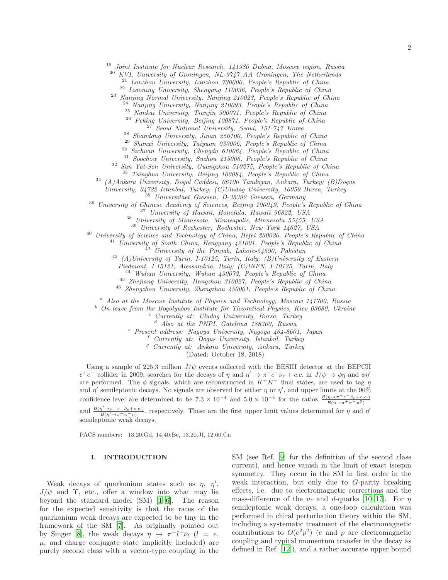<sup>19</sup> *Joint Institute for Nuclear Research, 141980 Dubna, Moscow region, Russia*

<sup>20</sup> *KVI, University of Groningen, NL-9747 AA Groningen, The Netherlands*

<sup>21</sup> *Lanzhou University, Lanzhou 730000, People's Republic of China*

<sup>22</sup> *Liaoning University, Shenyang 110036, People's Republic of China*

<sup>23</sup> *Nanjing Normal University, Nanjing 210023, People's Republic of China*

<sup>24</sup> *Nanjing University, Nanjing 210093, People's Republic of China*

<sup>25</sup> *Nankai University, Tianjin 300071, People's Republic of China*

<sup>26</sup> *Peking University, Beijing 100871, People's Republic of China*

<sup>27</sup> *Seoul National University, Seoul, 151-747 Korea*

<sup>28</sup> *Shandong University, Jinan 250100, People's Republic of China*

<sup>29</sup> *Shanxi University, Taiyuan 030006, People's Republic of China*

<sup>30</sup> *Sichuan University, Chengdu 610064, People's Republic of China*

<sup>31</sup> *Soochow University, Suzhou 215006, People's Republic of China*

<sup>32</sup> *Sun Yat-Sen University, Guangzhou 510275, People's Republic of China*

<sup>33</sup> *Tsinghua University, Beijing 100084, People's Republic of China*

<sup>34</sup> *(A)Ankara University, Dogol Caddesi, 06100 Tandogan, Ankara, Turkey; (B)Dogus University, 34722 Istanbul, Turkey; (C)Uludag University, 16059 Bursa, Turkey*

<sup>35</sup> *Universitaet Giessen, D-35392 Giessen, Germany*

<sup>36</sup> *University of Chinese Academy of Sciences, Beijing 100049, People's Republic of China*

<sup>37</sup> *University of Hawaii, Honolulu, Hawaii 96822, USA*

<sup>38</sup> *University of Minnesota, Minneapolis, Minnesota 55455, USA*

<sup>39</sup> *University of Rochester, Rochester, New York 14627, USA*

<sup>40</sup> *University of Science and Technology of China, Hefei 230026, People's Republic of China*

<sup>41</sup> *University of South China, Hengyang 421001, People's Republic of China*

<sup>42</sup> *University of the Punjab, Lahore-54590, Pakistan*

<sup>43</sup> *(A)University of Turin, I-10125, Turin, Italy; (B)University of Eastern*

*Piedmont, I-15121, Alessandria, Italy; (C)INFN, I-10125, Turin, Italy*

<sup>44</sup> *Wuhan University, Wuhan 430072, People's Republic of China*

<sup>45</sup> *Zhejiang University, Hangzhou 310027, People's Republic of China*

<sup>46</sup> *Zhengzhou University, Zhengzhou 450001, People's Republic of China*

<sup>a</sup> *Also at the Moscow Institute of Physics and Technology, Moscow 141700, Russia*

<sup>b</sup> *On leave from the Bogolyubov Institute for Theoretical Physics, Kiev 03680, Ukraine*

<sup>c</sup> *Currently at: Uludag University, Bursa, Turkey*

<sup>d</sup> *Also at the PNPI, Gatchina 188300, Russia*

<sup>e</sup> *Present address: Nagoya University, Nagoya 464-8601, Japan*

<sup>f</sup> *Currently at: Dogus University, Istanbul, Turkey*

<sup>g</sup> *Currently at: Ankara University, Ankara, Turkey*

(Dated: October 18, 2018)

Using a sample of 225.3 million  $J/\psi$  events collected with the BESIII detector at the BEPCII  $e^+e^-$  collider in 2009, searches for the decays of  $\eta$  and  $\eta' \to \pi^+e^-\bar{\nu}_e + c.c.$  in  $J/\psi \to \phi\eta$  and  $\phi\eta'$ are performed. The  $\phi$  signals, which are reconstructed in  $K^+K^-$  final states, are used to tag  $\eta$ and  $\eta'$  semileptonic decays. No signals are observed for either  $\eta$  or  $\eta'$ , and upper limits at the 90% confidence level are determined to be  $7.3 \times 10^{-4}$  and  $5.0 \times 10^{-4}$  for the ratios  $\frac{\mathcal{B}(\eta \to \pi^+ e^- \bar{\nu}_e + c.c.)}{\mathcal{B}(\eta \to \pi^+ \pi^- \pi^0)}$ and  $\frac{\mathcal{B}(\eta'\to\pi^+e^-\bar{\nu}_e+c.c.)}{\mathcal{B}(\eta'\to\pi^+\pi^-\eta)}$ , respectively. These are the first upper limit values determined for  $\eta$  and  $\eta'$ semileptonic weak decays.

PACS numbers: 13.20.Gd, 14.40.Be, 13.20.Jf, 12.60.Cn

### I. INTRODUCTION

Weak decays of quarkonium states such as  $\eta$ ,  $\eta'$ ,  $J/\psi$  and  $\Upsilon$ , etc., offer a window into what may lie beyond the standard model (SM) [\[1](#page-7-0)[–6\]](#page-7-1). The reason for the expected sensitivity is that the rates of the quarkonium weak decays are expected to be tiny in the framework of the SM [\[7](#page-7-2)]. As originally pointed out by Singer [\[8](#page-7-3)], the weak decays  $\eta \rightarrow \pi^{+}l^{-}\bar{\nu}_{l}$  ( $l = e$ ,  $\mu$ , and charge conjugate state implicitly included) are purely second class with a vector-type coupling in the

SM (see Ref. [\[9](#page-7-4)] for the definition of the second class current), and hence vanish in the limit of exact isospin symmetry. They occur in the SM in first order in the weak interaction, but only due to G-parity breaking effects, i.e. due to electromagnetic corrections and the mass-difference of the u- and d-quarks [\[10](#page-7-5)[–17](#page-7-6)]. For  $\eta$ semileptonic weak decays, a one-loop calculation was performed in chiral perturbation theory within the SM, including a systematic treatment of the electromagnetic contributions to  $O(e^2p^2)$  (e and p are electromagnetic coupling and typical momentum transfer in the decay as defined in Ref. [\[12](#page-7-7)]), and a rather accurate upper bound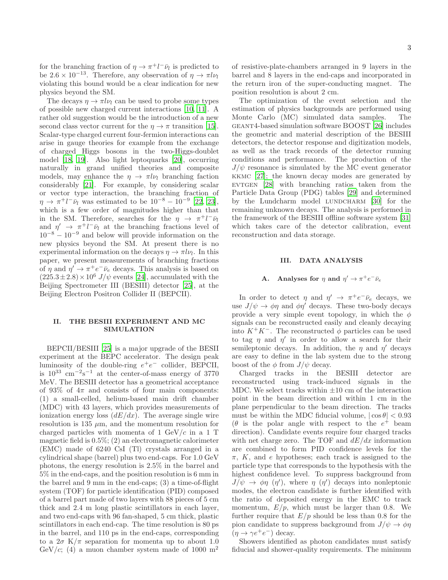for the branching fraction of  $\eta \to \pi^+ l^- \bar{\nu}_l$  is predicted to be  $2.6 \times 10^{-13}$ . Therefore, any observation of  $\eta \to \pi l \nu_l$ violating this bound would be a clear indication for new physics beyond the SM.

The decays  $\eta \to \pi l \nu_l$  can be used to probe some types of possible new charged current interactions [\[10,](#page-7-5) [11\]](#page-7-8). A rather old suggestion would be the introduction of a new second class vector current for the  $\eta \to \pi$  transition [\[15\]](#page-7-9). Scalar-type charged current four-fermion interactions can arise in gauge theories for example from the exchange of charged Higgs bosons in the two-Higgs-doublet model [\[18,](#page-7-10) [19\]](#page-7-11). Also light leptoquarks [\[20\]](#page-7-12), occurring naturally in grand unified theories and composite models, may enhance the  $\eta \to \pi l \nu_l$  branching faction considerably [\[21\]](#page-7-13). For example, by considering scalar or vector type interaction, the branching fraction of  $\eta \to \pi^+ l^- \bar{\nu}_l$  was estimated to be  $10^{-8} - 10^{-9}$  [\[22,](#page-7-14) [23\]](#page-7-15), which is a few order of magnitudes higher than that in the SM. Therefore, searches for the  $\eta \rightarrow \pi^+ l^- \bar{\nu}_l$ and  $\eta' \to \pi^+ l^- \bar{\nu}_l$  at the branching fractions level of  $10^{-8} - 10^{-9}$  and below will provide information on the new physics beyond the SM. At present there is no experimental information on the decays  $\eta \to \pi l \nu_l$ . In this paper, we present measurements of branching fractions of  $\eta$  and  $\eta' \to \pi^+ e^- \bar{\nu}_e$  decays. This analysis is based on  $(225.3\pm2.8)\times10^6$   $J/\psi$  events [\[24\]](#page-7-16), accumulated with the Beijing Spectrometer III (BESIII) detector [\[25\]](#page-7-17), at the Beijing Electron Positron Collider II (BEPCII).

### II. THE BESIII EXPERIMENT AND MC SIMULATION

BEPCII/BESIII [\[25](#page-7-17)] is a major upgrade of the BESII experiment at the BEPC accelerator. The design peak luminosity of the double-ring  $e^+e^-$  collider, BEPCII, is  $10^{33}$  cm<sup>-2</sup>s<sup>-1</sup> at the center-of-mass energy of 3770 MeV. The BESIII detector has a geometrical acceptance of 93% of  $4\pi$  and consists of four main components: (1) a small-celled, helium-based main drift chamber (MDC) with 43 layers, which provides measurements of ionization energy loss  $\left(dE/dx\right)$ . The average single wire resolution is 135  $\mu$ m, and the momentum resolution for charged particles with momenta of 1  $GeV/c$  in a 1 T magnetic field is 0.5%; (2) an electromagnetic calorimeter (EMC) made of 6240 CsI (Tl) crystals arranged in a cylindrical shape (barrel) plus two end-caps. For 1.0 GeV photons, the energy resolution is 2.5% in the barrel and 5% in the end-caps, and the position resolution is 6 mm in the barrel and 9 mm in the end-caps; (3) a time-of-flight system (TOF) for particle identification (PID) composed of a barrel part made of two layers with 88 pieces of 5 cm thick and 2.4 m long plastic scintillators in each layer, and two end-caps with 96 fan-shaped, 5 cm thick, plastic scintillators in each end-cap. The time resolution is 80 ps in the barrel, and 110 ps in the end-caps, corresponding to a  $2\sigma K/\pi$  separation for momenta up to about 1.0 GeV/c; (4) a muon chamber system made of 1000  $m<sup>2</sup>$ 

of resistive-plate-chambers arranged in 9 layers in the barrel and 8 layers in the end-caps and incorporated in the return iron of the super-conducting magnet. The position resolution is about 2 cm.

The optimization of the event selection and the estimation of physics backgrounds are performed using Monte Carlo (MC) simulated data samples. The geant4-based simulation software BOOST [\[26\]](#page-8-0) includes the geometric and material description of the BESIII detectors, the detector response and digitization models, as well as the track records of the detector running conditions and performance. The production of the  $J/\psi$  resonance is simulated by the MC event generator kkmc [\[27\]](#page-8-1); the known decay modes are generated by  $EVTGEN [28]$  $EVTGEN [28]$  $EVTGEN [28]$  with branching ratios taken from the Particle Data Group (PDG) tables [\[29\]](#page-8-3) and determined by the Lundcharm model LUNDCHARM [\[30\]](#page-8-4) for the remaining unknown decays. The analysis is performed in the framework of the BESIII offline software system [\[31](#page-8-5)] which takes care of the detector calibration, event reconstruction and data storage.

### III. DATA ANALYSIS

## A. Analyses for  $\eta$  and  $\eta' \to \pi^+ e^- \bar{\nu}_e$

In order to detect  $\eta$  and  $\eta' \to \pi^+ e^- \bar{\nu}_e$  decays, we use  $J/\psi \rightarrow \phi \eta$  and  $\phi \eta'$  decays. These two-body decays provide a very simple event topology, in which the  $\phi$ signals can be reconstructed easily and cleanly decaying into  $K^+K^-$ . The reconstructed  $\phi$  particles can be used to tag  $\eta$  and  $\eta'$  in order to allow a search for their semileptonic decays. In addition, the  $\eta$  and  $\eta'$  decays are easy to define in the lab system due to the strong boost of the  $\phi$  from  $J/\psi$  decay.

Charged tracks in the BESIII detector are reconstructed using track-induced signals in the MDC. We select tracks within  $\pm 10$  cm of the interaction point in the beam direction and within 1 cm in the plane perpendicular to the beam direction. The tracks must be within the MDC fiducial volume,  $|\cos \theta| < 0.93$  $(\theta$  is the polar angle with respect to the  $e^+$  beam direction). Candidate events require four charged tracks with net charge zero. The TOF and  $dE/dx$  information are combined to form PID confidence levels for the  $\pi$ , K, and e hypotheses; each track is assigned to the particle type that corresponds to the hypothesis with the highest confidence level. To suppress background from  $J/\psi \to \phi \eta$  ( $\eta'$ ), where  $\eta$  ( $\eta'$ ) decays into nonleptonic modes, the electron candidate is further identified with the ratio of deposited energy in the EMC to track momentum,  $E/p$ , which must be larger than 0.8. We further require that  $E/p$  should be less than 0.8 for the pion candidate to suppress background from  $J/\psi \rightarrow \phi \eta$  $(\eta \to \gamma e^+ e^-)$  decay.

Showers identified as photon candidates must satisfy fiducial and shower-quality requirements. The minimum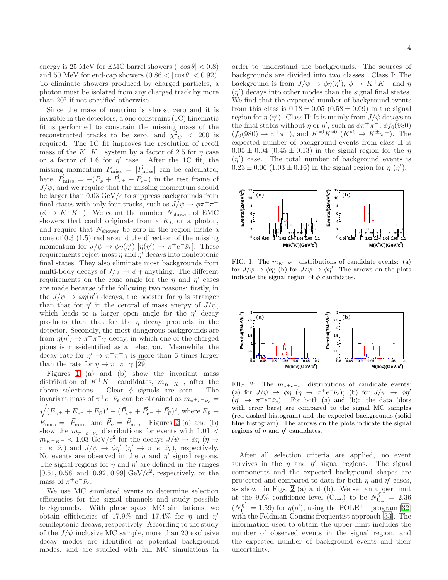energy is 25 MeV for EMC barrel showers ( $|\cos \theta|$  < 0.8) and 50 MeV for end-cap showers  $(0.86 < | \cos \theta | < 0.92)$ . To eliminate showers produced by charged particles, a photon must be isolated from any charged track by more than 20◦ if not specified otherwise.

Since the mass of neutrino is almost zero and it is invisible in the detectors, a one-constraint (1C) kinematic fit is performed to constrain the missing mass of the reconstructed tracks to be zero, and  $\chi^2_{1C}$  < 200 is required. The 1C fit improves the resolution of recoil mass of the  $K^+K^-$  system by a factor of 2.5 for  $\eta$  case or a factor of 1.6 for  $\eta'$  case. After the 1C fit, the missing momentum  $P_{\text{miss}} = |\vec{P}_{\text{miss}}|$  can be calculated; here,  $\vec{P}_{\text{miss}} = -(\vec{P}_{\phi} + \vec{P}_{\pi^+} + \vec{P}_{e^-})$  in the rest frame of  $J/\psi$ , and we require that the missing momentum should be larger than  $0.03 \text{ GeV}/c$  to suppress backgrounds from final states with only four tracks, such as  $J/\psi \to \phi \pi^+ \pi^ (\phi \rightarrow K^+K^-)$ . We count the number  $N_{\text{shower}}$  of EMC showers that could originate from a  $K_L$  or a photon, and require that  $N_{\text{shower}}$  be zero in the region inside a cone of 0.3 (1.5) rad around the direction of the missing momentum for  $J/\psi \to \phi \eta(\eta') \left[ \eta(\eta') \to \pi^+ e^- \bar{\nu}_e \right]$ . These requirements reject most  $\eta$  and  $\eta'$  decays into nonleptonic final states. They also eliminate most backgrounds from multi-body decays of  $J/\psi \rightarrow \phi +$  anything. The different requirements on the cone angle for the  $\eta$  and  $\eta'$  cases are made because of the following two reasons: firstly, in the  $J/\psi \to \phi \eta(\eta')$  decays, the booster for  $\eta$  is stranger than that for  $\eta'$  in the central of mass energy of  $J/\psi$ , which leads to a larger open angle for the  $\eta'$  decay products than that for the  $\eta$  decay products in the detector. Secondly, the most dangerous backgrounds are from  $\eta(\eta') \to \pi^+ \pi^- \gamma$  decay, in which one of the charged pions is mis-identified as an electron. Meanwhile, the decay rate for  $\eta' \to \pi^+\pi^-\gamma$  is more than 6 times larger than the rate for  $\eta \to \pi^+ \pi^- \gamma$  [\[29](#page-8-3)].

Figures [1](#page-3-0) (a) and (b) show the invariant mass distribution of  $K^+K^-$  candidates,  $m_{K^+K^-}$ , after the above selections. Clear  $\phi$  signals are seen. The invariant mass of  $\pi^+e^-\bar{\nu}_e$  can be obtained as  $m_{\pi^+e^-\bar{\nu}_e} =$  $(E_{\pi^+} + E_{e^-} + E_{\bar{\nu}})^2 - (\vec{P}_{\pi^+} + \vec{P}_{e^-} + \vec{P}_{\bar{\nu}})^2$ , where  $E_{\bar{\nu}} \equiv$  $E_{\rm miss} = |\vec{P}_{\rm miss}|$  and  $\vec{P}_{\bar{\nu}} = \vec{P}_{\rm miss}$ . Figures [2](#page-3-1) (a) and (b) show the  $m_{\pi^+e^-\bar{\nu}_e}$  distributions for events with 1.01 <  $m_{K^+K^-}$  < 1.03 GeV/ $c^2$  for the decays  $J/\psi \to \phi \eta$  ( $\eta \to$  $\pi^+e^-\bar{\nu}_e$ ) and  $J/\psi \to \phi\eta'$  ( $\eta' \to \pi^+e^-\bar{\nu}_e$ ), respectively. No events are observed in the  $\eta$  and  $\eta'$  signal regions. The signal regions for  $\eta$  and  $\eta'$  are defined in the ranges [0.51, 0.58] and [0.92, 0.99]  $GeV/c^2$ , respectively, on the mass of  $\pi^+e^-\bar{\nu}_e$ .

We use MC simulated events to determine selection efficiencies for the signal channels and study possible backgrounds. With phase space MC simulations, we obtain efficiencies of 17.9% and 17.4% for  $\eta$  and  $\eta'$ semileptonic decays, respectively. According to the study of the  $J/\psi$  inclusive MC sample, more than 20 exclusive decay modes are identified as potential background modes, and are studied with full MC simulations in

order to understand the backgrounds. The sources of backgrounds are divided into two classes. Class I: The background is from  $J/\psi \to \phi \eta(\eta')$ ,  $\phi \to K^+K^-$  and  $\eta$  $(\eta')$  decays into other modes than the signal final states. We find that the expected number of background events from this class is  $0.18 \pm 0.05$   $(0.58 \pm 0.09)$  in the signal region for  $\eta$  ( $\eta'$ ). Class II: It is mainly from  $J/\psi$  decays to the final states without  $\eta$  or  $\eta'$ , such as  $\phi \pi^+ \pi^-$ ,  $\phi f_0(980)$  $(f_0(980) \to \pi^+\pi^-)$ , and  $K^{*0}K^{*0}$   $(K^{*0} \to K^{\pm}\pi^{\mp})$ . The expected number of background events from class II is  $0.05 \pm 0.04$   $(0.45 \pm 0.13)$  in the signal region for the  $\eta$  $(\eta')$  case. The total number of background events is  $0.23 \pm 0.06$   $(1.03 \pm 0.16)$  in the signal region for  $\eta$   $(\eta')$ .



<span id="page-3-0"></span>FIG. 1: The  $m_{K^+K^-}$  distributions of candidate events: (a) for  $J/\psi \to \phi \eta$ ; (b) for  $J/\psi \to \phi \eta'$ . The arrows on the plots indicate the signal region of  $\phi$  candidates.



<span id="page-3-1"></span>FIG. 2: The  $m_{\pi^+e^-\bar{\nu}_e}$  distributions of candidate events: (a) for  $J/\psi \rightarrow \phi \eta$  ( $\eta \rightarrow \pi^+ e^- \bar{\nu}_e$ ); (b) for  $J/\psi \rightarrow \phi \eta'$  $(\eta' \rightarrow \pi^+e^-\bar{\nu}_e)$ . For both (a) and (b): the data (dots with error bars) are compared to the signal MC samples (red dashed histogram) and the expected backgrounds (solid blue histogram). The arrows on the plots indicate the signal regions of  $\eta$  and  $\eta'$  candidates.

After all selection criteria are applied, no event survives in the  $\eta$  and  $\eta'$  signal regions. The signal components and the expected background shapes are projected and compared to data for both  $\eta$  and  $\eta'$  cases, as shown in Figs. [2](#page-3-1) (a) and (b). We set an upper limit at the 90% confidence level (C.L.) to be  $N_{\text{UL}}^{\hat{\eta}} = 2.36$  $(N_{\text{UL}}^{\eta'}=1.59)$  for  $\eta(\eta')$ , using the POLE<sup>++</sup> program [\[32](#page-8-6)] with the Feldman-Cousins frequentist approach [\[33](#page-8-7)]. The information used to obtain the upper limit includes the number of observed events in the signal region, and the expected number of background events and their uncertainty.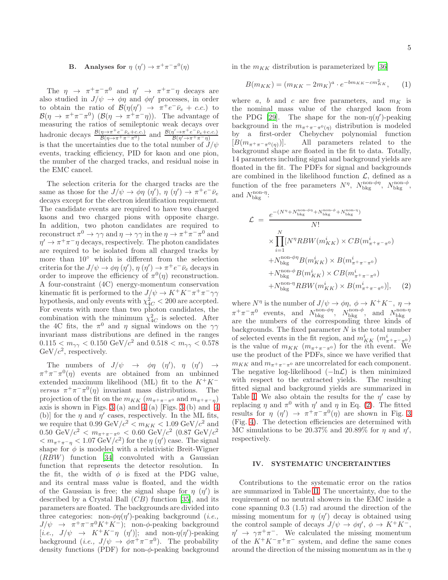# B. Analyses for  $\eta$   $(\eta') \to \pi^+ \pi^- \pi^0(\eta)$

The  $\eta \rightarrow \pi^+\pi^-\pi^0$  and  $\eta' \rightarrow \pi^+\pi^-\eta$  decays are also studied in  $J/\psi \rightarrow \phi \eta$  and  $\phi \eta'$  processes, in order to obtain the ratio of  $\mathcal{B}(\eta(\eta')) \to \pi^+e^-\bar{\nu}_e + c.c.)$  to  $\mathcal{B}(\eta \to \pi^+\pi^-\pi^0)$   $(\mathcal{B}(\eta \to \pi^+\pi^-\eta))$ . The advantage of measuring the ratios of semileptonic weak decays over hadronic decays  $\frac{\mathcal{B}(\eta \to \pi^+ e^- \bar{\nu}_e + c.c.)}{\mathcal{B}(\eta \to \pi^+ \pi^- \pi^0)}$  and  $\frac{\mathcal{B}(\eta' \to \pi^+ e^- \bar{\nu}_e + c.c.)}{\mathcal{B}(\eta' \to \pi^+ \pi^- \eta)}$ is that the uncertainties due to the total number of  $J/\psi$ events, tracking efficiency, PID for kaon and one pion, the number of the charged tracks, and residual noise in the EMC cancel.

The selection criteria for the charged tracks are the same as those for the  $J/\psi \to \phi \eta$  ( $\eta'$ ),  $\eta$  ( $\eta'$ )  $\to \pi^+ e^- \bar{\nu}_e$ decays except for the electron identification requirement. The candidate events are required to have two charged kaons and two charged pions with opposite charge. In addition, two photon candidates are required to reconstruct  $\pi^0 \to \gamma \gamma$  and  $\eta \to \gamma \gamma$  in the  $\eta \to \pi^+ \pi^- \pi^0$  and  $\eta' \to \pi^+ \pi^- \eta$  decays, respectively. The photon candidates are required to be isolated from all charged tracks by more than 10◦ which is different from the selection criteria for the  $J/\psi \to \phi \eta$   $(\eta')$ ,  $\eta$   $(\eta') \to \pi^+ e^- \bar{\nu}_e$  decays in order to improve the efficiency of  $\pi^0(\eta)$  reconstruction. A four-constraint (4C) energy-momentum conservation kinematic fit is performed to the  $J/\psi \to K^+K^-\pi^+\pi^-\gamma\gamma$ hypothesis, and only events with  $\chi^2_{4C} < 200$  are accepted. For events with more than two photon candidates, the combination with the minimum  $\chi^2_{4C}$  is selected. After the 4C fits, the  $\pi^0$  and  $\eta$  signal windows on the  $\gamma\gamma$ invariant mass distributions are defined in the ranges  $0.115 < m_{\gamma\gamma} < 0.150 \text{ GeV}/c^2 \text{ and } 0.518 < m_{\gamma\gamma} < 0.578$  $GeV/c^2$ , respectively.

The numbers of  $J/\psi \rightarrow \phi \eta$  ( $\eta'$ ),  $\eta$  ( $\eta'$ )  $\rightarrow$  $\pi^+\pi^-\pi^0(\eta)$  events are obtained from an unbinned extended maximum likelihood (ML) fit to the  $K^+K^$ versus  $\pi^+\pi^-\pi^0(\eta)$  invariant mass distributions. The projection of the fit on the  $m_{KK}$  ( $m_{\pi^+\pi^-\pi^0}$  and  $m_{\pi^+\pi^-\eta}$ ) axis is shown in Figs. [3](#page-5-0) (a) and [4](#page-5-1) (a) [Figs. 3 (b) and 4 (b)] for the  $\eta$  and  $\eta'$  cases, respectively. In the ML fits, we require that  $0.99 \text{ GeV}/c^2 < m_{KK} < 1.09 \text{ GeV}/c^2$  and  $0.50\,\,{\rm GeV}/c^2\,<\,m_{\pi^+\pi^-\pi^0}\,<\,0.60\,\,{\rm GeV}/c^2\,\,(0.87\,\,{\rm GeV}/c^2$  $m_{\pi^+\pi^-\eta} < 1.07 \text{ GeV}/c^2$  for the  $\eta(\eta')$  case. The signal shape for  $\phi$  is modeled with a relativistic Breit-Wigner (RBW) function [\[34\]](#page-8-8) convoluted with a Gaussian function that represents the detector resolution. In the fit, the width of  $\phi$  is fixed at the PDG value, and its central mass value is floated, and the width of the Gaussian is free; the signal shape for  $\eta$  ( $\eta'$ ) is described by a Crystal Ball  $(CB)$  function [\[35\]](#page-8-9), and its parameters are floated. The backgrounds are divided into three categories: non- $\phi\eta(\eta')$ -peaking background (*i.e.*,  $J/\psi \rightarrow \pi^+\pi^-\pi^0 K^+K^-$ ; non- $\phi$ -peaking background [*i.e.*,  $J/\psi \rightarrow K^+K^-\eta \quad (\eta')$ ]; and non- $\eta(\eta')$ -peaking background (*i.e.*,  $J/\psi \to \phi \pi^+ \pi^- \pi^0$ ). The probability density functions (PDF) for non- $\phi$ -peaking background

in the  $m_{KK}$  distribution is parameterized by [\[36\]](#page-8-10)

$$
B(m_{KK}) = (m_{KK} - 2m_K)^a \cdot e^{-bm_{KK} - cm_{KK}^2}, \qquad (1)
$$

where a, b and c are free parameters, and  $m_K$  is the nominal mass value of the charged kaon from the PDG [\[29](#page-8-3)]. The shape for the non- $\eta(\eta')$ -peaking background in the  $m_{\pi^+\pi^-\pi^0(\eta)}$  distribution is modeled by a first-order Chebychev polynomial function  $[B(m_{\pi^+\pi^-\pi^0(\eta)})]$ . All parameters related to the background shape are floated in the fit to data. Totally, 14 parameters including signal and background yields are floated in the fit. The PDFs for signal and backgrounds are combined in the likelihood function  $\mathcal{L}$ , defined as a function of the free parameters  $N^{\eta}$ ,  $N_{\text{bkg}}^{\text{non-}\phi\eta}$ ,  $N_{\text{bkg}}^{\text{non-}\phi}$ , and  $N_{\text{bkg}}^{\text{non-}\eta}$ :

<span id="page-4-0"></span>
$$
\mathcal{L} = \frac{e^{-(N^{\eta} + N_{\text{bkg}}^{\text{non-}\phi\eta} + N_{\text{bkg}}^{\text{non-}\phi} + N_{\text{bkg}}^{\text{non-}\eta})}}{N!} \times \prod_{i=1}^{N} [N^{\eta} RBW(m_{KK}^{i}) \times CB(m_{\pi^{+}\pi^{-}\pi^{0}}^{i}) + N_{\text{bkg}}^{\text{non-}\phi\eta} B(m_{KK}^{i}) \times B(m_{\pi^{+}\pi^{-}\pi^{0}}^{i}) + N_{\text{bkg}}^{\text{non-}\phi} B(m_{KK}^{i}) \times CB(m_{\pi^{+}\pi^{-}\pi^{0}}^{i}) + N_{\text{bkg}}^{\text{non-}\eta} RBW(m_{KK}^{i}) \times B(m_{\pi^{+}\pi^{-}\pi^{0}}^{i})], \quad (2)
$$

where  $N^{\eta}$  is the number of  $J/\psi \to \phi \eta$ ,  $\phi \to K^+ K^-$ ,  $\eta \to$  $\pi^+\pi^-\pi^0$  events, and  $N_{\text{bkg}}^{\text{non-}\phi\eta}$ ,  $N_{\text{bkg}}^{\text{non-}\phi}$ , and  $N_{\text{bkg}}^{\text{non-}\eta}$ <br>are the numbers of the corresponding three kinds of backgrounds. The fixed parameter  $N$  is the total number of selected events in the fit region, and  $m_{KK}^i\,\left(m_{\pi^+\pi^-\pi^0}^i\right)$ is the value of  $m_{KK}$   $(m_{\pi^+\pi^-\pi^0})$  for the *i*th event. We use the product of the PDFs, since we have verified that  $m_{KK}$  and  $m_{\pi^+\pi^-\pi^0}$  are uncorrelated for each component. The negative log-likelihood  $(-\ln\mathcal{L})$  is then minimized with respect to the extracted yields. The resulting fitted signal and background yields are summarized in Table [I.](#page-6-0) We also obtain the results for the  $\eta'$  case by replacing  $\eta$  and  $\pi^0$  with  $\eta'$  and  $\eta$  in Eq. [\(2\)](#page-4-0). The fitted results for  $\eta$  ( $\eta'$ )  $\rightarrow \pi^+\pi^-\pi^0(\eta)$  are shown in Fig. [3](#page-5-0) (Fig. [4\)](#page-5-1). The detection efficiencies are determined with MC simulations to be 20.37% and 20.89% for  $\eta$  and  $\eta'$ , respectively.

### IV. SYSTEMATIC UNCERTAINTIES

Contributions to the systematic error on the ratios are summarized in Table [II.](#page-6-1) The uncertainty, due to the requirement of no neutral showers in the EMC inside a cone spanning 0.3 (1.5) rad around the direction of the missing momentum for  $\eta$  ( $\eta'$ ) decay is obtained using the control sample of decays  $J/\psi \to \phi \eta'$ ,  $\phi \to K^+ K^-$ ,  $\eta' \to \gamma \pi^+ \pi^-$ . We calculated the missing momentum of the  $K^+K^-\pi^+\pi^-$  system, and define the same cones around the direction of the missing momentum as in the  $\eta$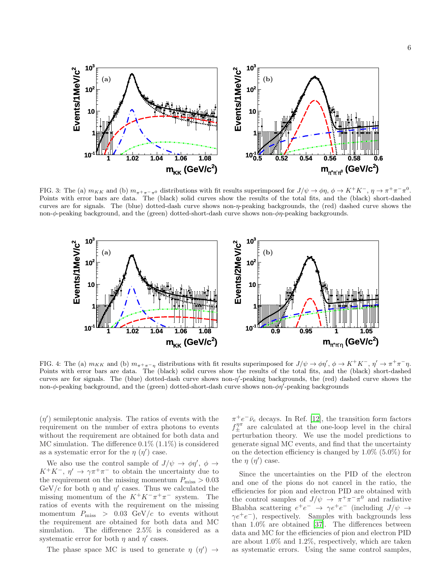

<span id="page-5-0"></span>FIG. 3: The (a)  $m_{KK}$  and (b)  $m_{\pi^+\pi^-\pi^0}$  distributions with fit results superimposed for  $J/\psi \to \phi \eta$ ,  $\phi \to K^+K^-$ ,  $\eta \to \pi^+\pi^-\pi^0$ . Points with error bars are data. The (black) solid curves show the results of the total fits, and the (black) short-dashed curves are for signals. The (blue) dotted-dash curve shows non-η-peaking backgrounds, the (red) dashed curve shows the non-φ-peaking background, and the (green) dotted-short-dash curve shows non-φη-peaking backgrounds.



<span id="page-5-1"></span>FIG. 4: The (a)  $m_{KK}$  and (b)  $m_{\pi^+\pi^-\eta}$  distributions with fit results superimposed for  $J/\psi \to \phi \eta'$ ,  $\phi \to K^+K^-$ ,  $\eta' \to \pi^+\pi^-\eta$ . Points with error bars are data. The (black) solid curves show the results of the total fits, and the (black) short-dashed curves are for signals. The (blue) dotted-dash curve shows non-η'-peaking backgrounds, the (red) dashed curve shows the non-φ-peaking background, and the (green) dotted-short-dash curve shows non-φη<sup>7</sup>-peaking backgrounds

 $(\eta')$  semileptonic analysis. The ratios of events with the requirement on the number of extra photons to events without the requirement are obtained for both data and MC simulation. The difference  $0.1\%$  (1.1%) is considered as a systematic error for the  $\eta$  ( $\eta'$ ) case.

We also use the control sample of  $J/\psi \to \phi \eta'$ ,  $\phi \to$  $K^+K^-$ ,  $\eta' \to \gamma \pi^+\pi^-$  to obtain the uncertainty due to the requirement on the missing momentum  $P_{\text{miss}} > 0.03$ GeV/c for both  $\eta$  and  $\eta'$  cases. Thus we calculated the missing momentum of the  $K^+K^-\pi^+\pi^-$  system. The ratios of events with the requirement on the missing momentum  $P_{\text{miss}} > 0.03 \text{ GeV}/c$  to events without the requirement are obtained for both data and MC simulation. The difference 2.5% is considered as a systematic error for both  $\eta$  and  $\eta'$  cases.

The phase space MC is used to generate  $\eta$  ( $\eta'$ )  $\rightarrow$ 

 $\pi^+e^-\bar{\nu}_e$  decays. In Ref. [\[12\]](#page-7-7), the transition form factors  $f_{\pm}^{\eta\pi}$  are calculated at the one-loop level in the chiral perturbation theory. We use the model predictions to generate signal MC events, and find that the uncertainty on the detection efficiency is changed by  $1.0\%$  (5.0%) for the  $\eta$  ( $\eta'$ ) case.

Since the uncertainties on the PID of the electron and one of the pions do not cancel in the ratio, the efficiencies for pion and electron PID are obtained with the control samples of  $J/\psi \to \pi^+\pi^-\pi^0$  and radiative Bhabha scattering  $e^+e^- \rightarrow \gamma e^+e^-$  (including  $J/\psi \rightarrow$  $\gamma e^+e^-$ ), respectively. Samples with backgrounds less than 1.0% are obtained [\[37\]](#page-8-11). The differences between data and MC for the efficiencies of pion and electron PID are about 1.0% and 1.2%, respectively, which are taken as systematic errors. Using the same control samples,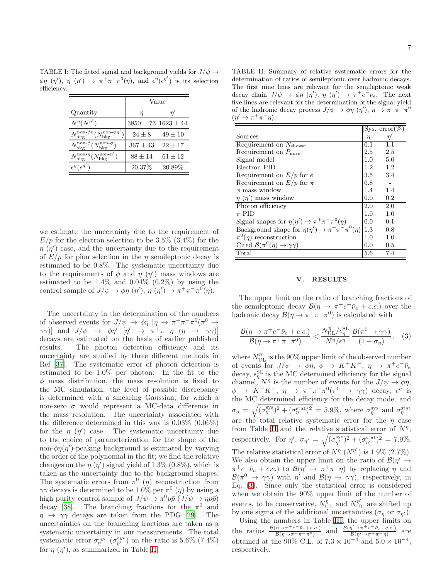efficiency. Value Quantity  $\eta'$   $\eta'$  $N^\eta \overline{(N^{\eta'}}$  $3850 \pm 73$   $1623 \pm 44$  $N_{\text{bkg}}^{\text{non-}\phi\eta} (N_{\text{bkg}}^{\text{non-}\phi\eta'})$  24 ± 8 49 ± 10  $N_{\rm bkg}^{\rm non-}\phi (N_{\rm bkg}^{\rm non-}\phi$  $367 \pm 43$  22  $\pm 17$  $N_{\rm bkg}^{\rm non-\eta} (N_{\rm bkg}^{\rm non-\eta'})$  88 ± 14 61 ± 12

) 20.37% 20.89%

 $\epsilon^\eta(\epsilon^{\eta'}$ 

<span id="page-6-0"></span>TABLE I: The fitted signal and background yields for  $J/\psi \rightarrow$  $\phi\eta$  ( $\eta'$ ),  $\eta$  ( $\eta'$ )  $\rightarrow \pi^+\pi^-\pi^0(\eta)$ , and  $\epsilon^{\eta}(\epsilon^{\eta'})$  is its selection

we estimate the uncertainty due to the requirement of  $E/p$  for the electron selection to be 3.5% (3.4%) for the  $\eta$  ( $\eta'$ ) case, and the uncertainty due to the requirement of  $E/p$  for pion selection in the  $\eta$  semileptonic decay is estimated to be 0.8%. The systematic uncertainty due to the requirements of  $\phi$  and  $\eta$  ( $\eta'$ ) mass windows are estimated to be  $1.4\%$  and  $0.04\%$  (0.2%) by using the control sample of  $J/\psi \to \phi \eta$   $(\eta')$ ,  $\eta$   $(\eta') \to \pi^+ \pi^- \pi^0(\eta)$ .

The uncertainty in the determination of the numbers of observed events for  $J/\psi \to \phi \eta$  [ $\eta \to \pi^+ \pi^- \pi^0 (\pi^0 \to$  $(\gamma \gamma)$ ] and  $J/\psi \rightarrow \phi \eta'$  [ $\eta' \rightarrow \pi^+ \pi^- \eta$  ( $\eta \rightarrow \gamma \gamma$ )] decays are estimated on the basis of earlier published results. The photon detection efficiency and its uncertainty are studied by three different methods in Ref [\[37\]](#page-8-11). The systematic error of photon detection is estimated to be 1.0% per photon. In the fit to the  $\phi$  mass distribution, the mass resolution is fixed to the MC simulation; the level of possible discrepancy is determined with a smearing Gaussian, for which a non-zero  $\sigma$  would represent a MC-data difference in the mass resolution. The uncertainty associated with the difference determined in this way is 0.03% (0.06%) for the  $\eta$  ( $\eta'$ ) case. The systematic uncertainty due to the choice of parameterization for the shape of the non- $\phi\eta(\eta')$ -peaking background is estimated by varying the order of the polynomial in the fit; we find the relative changes on the  $\eta$  ( $\eta'$ ) signal yield of 1.3% (0.8%), which is taken as the uncertainty due to the background shapes. The systematic errors from  $\pi^0$  (*η*) reconstruction from  $\gamma\gamma$  decays is determined to be 1.0% per  $\pi^0$  (*η*) by using a high purity control sample of  $J/\psi \to \pi^0 p \bar{p} (J/\psi \to \eta p \bar{p})$ decay [\[38\]](#page-8-12). The branching fractions for the  $\pi^0$  and  $\eta \rightarrow \gamma \gamma$  decays are taken from the PDG [\[29\]](#page-8-3). The uncertainties on the branching fractions are taken as a systematic uncertainty in our measurements. The total systematic error  $\sigma_{\eta}^{sys}(\sigma_{\eta'}^{sys})$  on the ratio is 5.6% (7.4%) for  $\eta$  ( $\eta'$ ), as summarized in Table [II.](#page-6-1)

<span id="page-6-1"></span>TABLE II: Summary of relative systematic errors for the determination of ratios of semileptonic over hadronic decays. The first nine lines are relevant for the semileptonic weak decay chain  $J/\psi \to \phi \eta$  ( $\eta'$ ),  $\eta$  ( $\eta'$ )  $\to \pi^+ e^- \bar{\nu}_e$ . The next five lines are relevant for the determination of the signal yield of the hadronic decay process  $J/\psi \to \phi \eta$  ( $\eta'$ ),  $\eta \to \pi^+ \pi^- \pi^0$  $(\eta' \to \pi^+\pi^-\eta).$ 

|                                                                |     | Sys. $error(\%)$ |
|----------------------------------------------------------------|-----|------------------|
| Sources                                                        | η   | $\eta^{\cdot}$   |
| Requirement on $N_{\text{shower}}$                             | 0.1 | 1.1              |
| Requirement on $P_{\text{miss}}$                               | 2.5 | 2.5              |
| Signal model                                                   | 1.0 | 5.0              |
| Electron PID                                                   | 1.2 | 1.2              |
| Requirement on $E/p$ for e                                     | 3.5 | 3.4              |
| Requirement on $E/p$ for $\pi$                                 | 0.8 |                  |
| $\phi$ mass window                                             | 1.4 | 1.4              |
| $\eta$ ( $\eta'$ ) mass window                                 | 0.0 | $0.2\,$          |
| Photon efficiency                                              | 2.0 | 2.0              |
| $\pi$ PID                                                      | 1.0 | 1.0              |
| Signal shapes for $\eta(\eta') \to \pi^+ \pi^- \pi^0(\eta)$    | 0.0 | 0.1              |
| Background shape for $\eta(\eta') \to \pi^+ \pi^- \pi^0(\eta)$ | 1.3 | 0.8              |
| $\pi^0(\eta)$ reconstruction                                   | 1.0 | 1.0              |
| Cited $\mathcal{B}(\pi^0(\eta) \to \gamma\gamma)$              | 0.0 | 0.5              |
| Total                                                          | 5.6 | 7.4              |

#### V. RESULTS

The upper limit on the ratio of branching fractions of the semileptonic decay  $\mathcal{B}(\eta \to \pi^+ e^- \bar{\nu}_e + c.c.)$  over the hadronic decay  $\mathcal{B}(\eta \to \pi^+ \pi^- \pi^0)$  is calculated with

<span id="page-6-2"></span>
$$
\frac{\mathcal{B}(\eta \to \pi^+ e^- \bar{\nu}_e + c.c.)}{\mathcal{B}(\eta \to \pi^+ \pi^- \pi^0)} < \frac{N_{\text{UL}}^{\eta}/\epsilon_{\eta}^{\text{SL}}}{N^{\eta}/\epsilon^{\eta}} \frac{\mathcal{B}(\pi^0 \to \gamma \gamma)}{(1 - \sigma_{\eta})}, \quad (3)
$$

where  $N^\eta_\text{UL}$  is the 90% upper limit of the observed number of events for  $J/\psi \to \phi \eta$ ,  $\phi \to K^+K^-$ ,  $\eta \to \pi^+e^-\bar{\nu}_e$ decay,  $\epsilon_{\eta}^{\text{SL}}$  is the MC determined efficiency for the signal channel,  $N^{\eta}$  is the number of events for the  $J/\psi \rightarrow \phi \eta$ ,  $\phi \rightarrow K^+K^-$ ,  $\eta \rightarrow \pi^+\pi^-\pi^0(\pi^0 \rightarrow \gamma\gamma)$  decay,  $\epsilon^{\eta}$  is the MC determined efficiency for the decay mode, and  $\sigma_{\eta} = \sqrt{(\sigma_{\eta}^{\text{sys}})^2 + (\sigma_{\eta}^{\text{stat}})^2} = 5.9\%,$  where  $\sigma_{\eta}^{\text{sys}}$  and  $\sigma_{\eta}^{\text{stat}}$ are the total relative systematic error for the  $\eta$  case from Table [II](#page-6-1) and the relative statistical error of  $N^{\eta}$ , respectively. For  $\eta'$ ,  $\sigma_{\eta'} = \sqrt{(\sigma_{\eta'}^{\text{sys}})^2 + (\sigma_{\eta'}^{\text{stat}})^2} = 7.9\%.$ The relative statistical error of  $N^{\eta}$   $(N^{\eta'})$  is 1.9% (2.7%). We also obtain the upper limit on the ratio of  $\mathcal{B}(\eta' \to$  $\pi^+e^-\bar{\nu}_e + c.c.$ ) to  $\mathcal{B}(\eta' \to \pi^+\pi^-\eta)$  by replacing  $\eta$  and  $\mathcal{B}(\pi^0 \to \gamma\gamma)$  with  $\eta'$  and  $\mathcal{B}(\eta \to \gamma\gamma)$ , respectively, in Eq. [\(3\)](#page-6-2). Since only the statistical error is considered when we obtain the 90% upper limit of the number of events, to be conservative,  $\overline{N}_{\text{UL}}^{\eta}$  and  $\overline{N}_{\text{UL}}^{\eta'}$  are shifted up by one sigma of the additional uncertainties  $(\sigma_{\eta}$  or  $\sigma_{\eta'}).$ Using the numbers in Table [III,](#page-7-18) the upper limits on

the ratios  $\frac{\mathcal{B}(\eta \to \pi^+ e^- \bar{\nu}_e + c.c.)}{\mathcal{B}(\eta \to \pi^+ \pi^- \pi^0)}$  and  $\frac{\mathcal{B}(\eta' \to \pi^+ \bar{e}^- \bar{\nu}_e + c.c.)}{\mathcal{B}(\eta' \to \pi^+ \pi^- \eta)}$  are obtained at the 90% C.L. of  $7.3 \times 10^{-4}$  and  $5.0 \times 10^{-4}$ , respectively.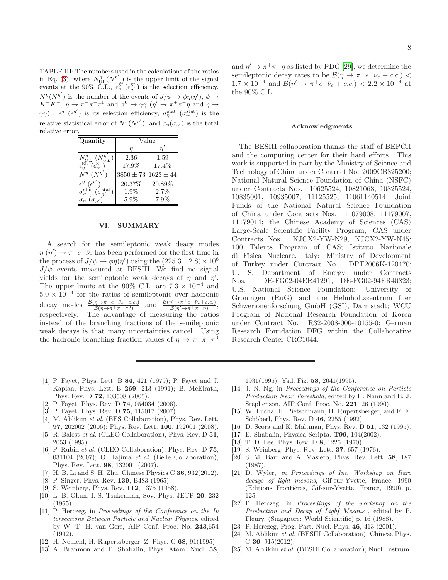<span id="page-7-18"></span>TABLE III: The numbers used in the calculations of the ratios in Eq. [\(3\)](#page-6-2), where  $N_{\text{UL}}^{\eta} (N_{\text{UL}}^{\eta'})$  is the upper limit of the signal events at the 90% C.L.,  $\epsilon_{\eta}^{\text{SL}}(\epsilon_{\eta'}^{\text{SL}})$  is the selection efficiency,  $N^{\eta}(N^{\eta'})$  is the number of the events of  $J/\psi \to \phi \eta(\eta'), \phi \to$  $K^+K^-$ ,  $\eta \to \pi^+\pi^-\pi^0$  and  $\pi^0 \to \gamma\gamma$  ( $\eta' \to \pi^+\pi^-\eta$  and  $\eta \to$  $\gamma\gamma$ ),  $\epsilon^{\eta}$  ( $\epsilon^{\eta'}$ ) is its selection efficiency,  $\sigma_{\eta}^{\text{stat}}$  ( $\sigma_{\eta'}^{\text{stat}}$ ) is the relative statistical error of  $N^{\eta}(N^{\eta'})$ , and  $\sigma_{\eta}(\sigma_{\eta'})$  is the total relative error.

| Quantity                                                      | Value                      |         |  |
|---------------------------------------------------------------|----------------------------|---------|--|
|                                                               | п                          |         |  |
| $N_{UL}^{\eta}$ $(N_{UL}^{\eta})$                             | 2.36                       | 1.59    |  |
| $\epsilon_{\eta}^{\text{SL}}(\epsilon_{\eta'}^{\text{SL}})$   | 17.9%                      | 17.4%   |  |
| $N^{\eta}$ (N                                                 | $3850 \pm 73\ 1623 \pm 44$ |         |  |
| $\epsilon^{\eta}$ $(\epsilon^{\eta'})$                        | 20.37%                     | 20.89%  |  |
| $\sigma_{\eta}^{\text{stat}}\ (\sigma_{\eta'}^{\text{stat}})$ | 1.9%                       | 2.7%    |  |
| $\sigma_n$                                                    | $5.9\%$                    | $7.9\%$ |  |

### VI. SUMMARY

A search for the semileptonic weak deacy modes  $\eta(\eta') \to \pi^+ e^- \bar{\nu}_e$  has been performed for the first time in the process of  $J/\psi \rightarrow \phi \eta(\eta')$  using the  $(225.3 \pm 2.8) \times 10^6$  $J/\psi$  events measured at BESIII. We find no signal yields for the semileptonic weak decays of  $\eta$  and  $\eta'$ . The upper limits at the 90% C.L. are  $7.3 \times 10^{-4}$  and  $5.0 \times 10^{-4}$  for the ratios of semileptonic over hadronic decay modes  $\frac{\eta \to \pi^+ e^- \bar{\nu}_e + c.c.)}{\mathcal{B}(\eta \to \pi^+ \pi^- \pi^0)}$  and  $\frac{\mathcal{B}(\eta' \to \pi^+ e^- \bar{\nu}_e + c.c.)}{\mathcal{B}(\eta' \to \pi^+ \pi^- \eta)},$ respectively. The advantage of measuring the ratios instead of the branching fractions of the semileptonic weak decays is that many uncertainties cancel. Using the hadronic branching fraction values of  $\eta \to \pi^+ \pi^- \pi^0$ 

- <span id="page-7-0"></span>[1] P. Fayet, Phys. Lett. B 84, 421 (1979); P. Fayet and J. Kaplan, Phys. Lett. B 269, 213 (1991); B. McElrath, Phys. Rev. D 72, 103508 (2005).
- [2] P. Fayet, Phys. Rev. D 74, 054034 (2006).
- [3] P. Fayet, Phys. Rev. D 75, 115017 (2007).
- [4] M. Ablikim *et al.* (BES Collaboration), Phys. Rev. Lett. 97, 202002 (2006); Phys. Rev. Lett. 100, 192001 (2008).
- [5] R. Balest *et al.* (CLEO Collaboration), Phys. Rev. D 51, 2053 (1995).
- <span id="page-7-1"></span>[6] P. Rubin *et al.* (CLEO Collaboration), Phys. Rev. D 75, 031104 (2007); O. Tajima *et al.* (Belle Collaboration), Phys. Rev. Lett. 98, 132001 (2007).
- <span id="page-7-2"></span>[7] H. B. Li and S. H. Zhu, Chinese Physics C  $36$ ,  $932(2012)$ .
- <span id="page-7-3"></span>[8] P. Singer, Phys. Rev. 139, B483 (1965).
- <span id="page-7-4"></span>[9] S. Weinberg, Phys. Rev. 112, 1375 (1958).
- <span id="page-7-5"></span>[10] L. B. Okun, I. S. Tsukerman, Sov. Phys. JETP 20, 232 (1965).
- <span id="page-7-8"></span>[11] P. Herczeg, in *Proceedings of the Conference on the In tersections Between Particle and Nuclear Physics*, edited by W. T. H. van Gers, AIP Conf. Proc. No. 243,654  $(1992)$
- <span id="page-7-7"></span>[12] H. Neufeld, H. Rupertsberger, Z. Phys. C 68, 91(1995).
- [13] A. Branmon and E. Shabalin, Phys. Atom. Nucl. 58,

and  $\eta' \to \pi^+ \pi^- \eta$  as listed by PDG [\[29](#page-8-3)], we determine the semileptonic decay rates to be  $\mathcal{B}(\eta \to \pi^+ e^- \bar{\nu}_e + c.c.)$  $1.7 \times 10^{-4}$  and  $\mathcal{B}(\eta' \to \pi^+ e^- \bar{\nu}_e + c.c.) < 2.2 \times 10^{-4}$  at the 90% C.L..

#### Acknowledgments

The BESIII collaboration thanks the staff of BEPCII and the computing center for their hard efforts. This work is supported in part by the Ministry of Science and Technology of China under Contract No. 2009CB825200; National Natural Science Foundation of China (NSFC) under Contracts Nos. 10625524, 10821063, 10825524, 10835001, 10935007, 11125525, 11061140514; Joint Funds of the National Natural Science Foundation of China under Contracts Nos. 11079008, 11179007, 11179014; the Chinese Academy of Sciences (CAS) Large-Scale Scientific Facility Program; CAS under Contracts Nos. KJCX2-YW-N29, KJCX2-YW-N45; 100 Talents Program of CAS; Istituto Nazionale di Fisica Nucleare, Italy; Ministry of Development of Turkey under Contract No. DPT2006K-120470; U. S. Department of Energy under Contracts Nos. DE-FG02-04ER41291, DE-FG02-94ER40823; U.S. National Science Foundation; University of Groningen (RuG) and the Helmholtzzentrum fuer Schwerionenforschung GmbH (GSI), Darmstadt; WCU Program of National Research Foundation of Korea under Contract No. R32-2008-000-10155-0; German Research Foundation DFG within the Collaborative Research Center CRC1044.

1931(1995); Yad. Fiz. 58, 2041(1995).

- [14] J. N. Ng, in *Proceedings of the Conference on Particle Production Near Threshold*, edited by H. Nann and E. J. Stephenson, AIP Conf. Proc. No. 221, 26 (1990).
- <span id="page-7-9"></span>[15] W. Lucha, H. Pietschmann, H. Rupertsberger, and F. F. Schöberl, Phys. Rev. D 46, 2255 (1992).
- [16] D. Scora and K. Maltman, Phys. Rev. D 51, 132 (1995).
- <span id="page-7-6"></span>[17] E. Shabalin, Physica Scripta. T99, 104(2002).
- <span id="page-7-10"></span>[18] T. D. Lee, Phys. Rev. D 8, 1226 (1970).
- <span id="page-7-11"></span>[19] S. Weinberg, Phys. Rev. Lett. 37, 657 (1976).
- <span id="page-7-12"></span>[20] S. M. Barr and A. Masiero, Phys. Rev. Lett. 58, 187 (1987).
- <span id="page-7-13"></span>[21] D. Wyler, *in Proceedings of Int. Workshop on Rare decays of light mesons*, Gif-sur-Yvette, France, 1990 (Editions Frontières, Gif-sur-Yvette, France, 1990) p. 125.
- <span id="page-7-14"></span>[22] P. Herczeg, in *Proceedings of the workshop on the Production and Decay of Lighf Mesons* , edited by P. Fleury, (Singapore: World Scientific) p. 16 (1988).
- <span id="page-7-15"></span>[23] P. Herczeg, Prog. Part. Nucl. Phys. 46, 413 (2001).
- <span id="page-7-16"></span>[24] M. Ablikim *et al.* (BESIII Collaboration), Chinese Phys. C 36, 915(2012).
- <span id="page-7-17"></span>[25] M. Ablikim *et al.* (BESIII Collaboration), Nucl. Instrum.